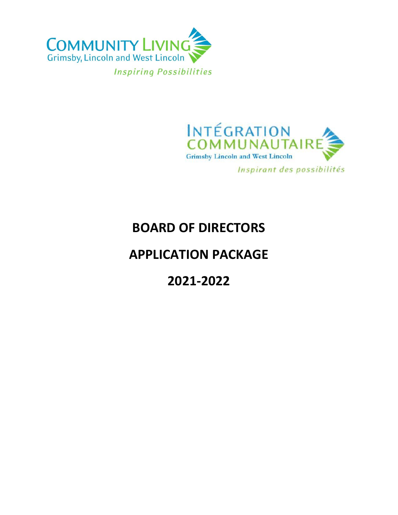



Inspirant des possibilités

## **BOARD OF DIRECTORS**

## **APPLICATION PACKAGE**

**2021-2022**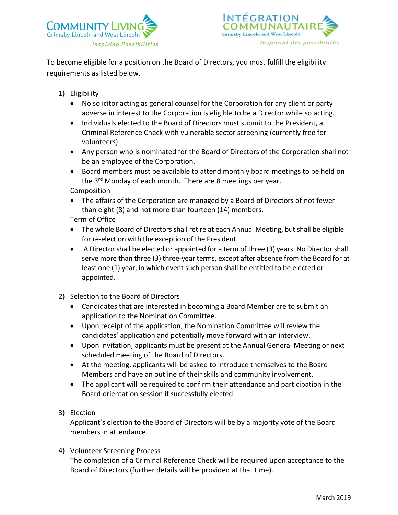



To become eligible for a position on the Board of Directors, you must fulfill the eligibility requirements as listed below.

- 1) Eligibility
	- No solicitor acting as general counsel for the Corporation for any client or party adverse in interest to the Corporation is eligible to be a Director while so acting.
	- Individuals elected to the Board of Directors must submit to the President, a Criminal Reference Check with vulnerable sector screening (currently free for volunteers).
	- Any person who is nominated for the Board of Directors of the Corporation shall not be an employee of the Corporation.
	- Board members must be available to attend monthly board meetings to be held on the 3<sup>rd</sup> Monday of each month. There are 8 meetings per year.

Composition

• The affairs of the Corporation are managed by a Board of Directors of not fewer than eight (8) and not more than fourteen (14) members.

Term of Office

- The whole Board of Directors shall retire at each Annual Meeting, but shall be eligible for re-election with the exception of the President.
- A Director shall be elected or appointed for a term of three (3) years. No Director shall serve more than three (3) three-year terms, except after absence from the Board for at least one (1) year, in which event such person shall be entitled to be elected or appointed.
- 2) Selection to the Board of Directors
	- Candidates that are interested in becoming a Board Member are to submit an application to the Nomination Committee.
	- Upon receipt of the application, the Nomination Committee will review the candidates' application and potentially move forward with an interview.
	- Upon invitation, applicants must be present at the Annual General Meeting or next scheduled meeting of the Board of Directors.
	- At the meeting, applicants will be asked to introduce themselves to the Board Members and have an outline of their skills and community involvement.
	- The applicant will be required to confirm their attendance and participation in the Board orientation session if successfully elected.
- 3) Election

Applicant's election to the Board of Directors will be by a majority vote of the Board members in attendance.

4) Volunteer Screening Process

The completion of a Criminal Reference Check will be required upon acceptance to the Board of Directors (further details will be provided at that time).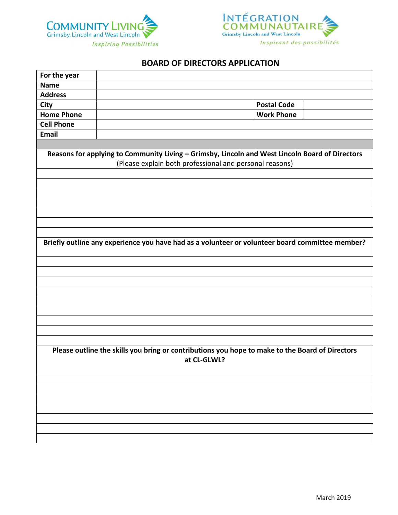



## **BOARD OF DIRECTORS APPLICATION**

| For the year                                                                                                   |                                                                                                                                                            |
|----------------------------------------------------------------------------------------------------------------|------------------------------------------------------------------------------------------------------------------------------------------------------------|
| <b>Name</b>                                                                                                    |                                                                                                                                                            |
| <b>Address</b>                                                                                                 |                                                                                                                                                            |
| <b>City</b>                                                                                                    | <b>Postal Code</b>                                                                                                                                         |
| <b>Home Phone</b>                                                                                              | <b>Work Phone</b>                                                                                                                                          |
| <b>Cell Phone</b>                                                                                              |                                                                                                                                                            |
| <b>Email</b>                                                                                                   |                                                                                                                                                            |
|                                                                                                                |                                                                                                                                                            |
|                                                                                                                | Reasons for applying to Community Living - Grimsby, Lincoln and West Lincoln Board of Directors<br>(Please explain both professional and personal reasons) |
|                                                                                                                |                                                                                                                                                            |
|                                                                                                                |                                                                                                                                                            |
|                                                                                                                | Briefly outline any experience you have had as a volunteer or volunteer board committee member?                                                            |
|                                                                                                                |                                                                                                                                                            |
|                                                                                                                |                                                                                                                                                            |
|                                                                                                                |                                                                                                                                                            |
|                                                                                                                |                                                                                                                                                            |
|                                                                                                                |                                                                                                                                                            |
|                                                                                                                |                                                                                                                                                            |
|                                                                                                                |                                                                                                                                                            |
|                                                                                                                |                                                                                                                                                            |
| Please outline the skills you bring or contributions you hope to make to the Board of Directors<br>at CL-GLWL? |                                                                                                                                                            |
|                                                                                                                |                                                                                                                                                            |
|                                                                                                                |                                                                                                                                                            |
|                                                                                                                |                                                                                                                                                            |
|                                                                                                                |                                                                                                                                                            |
|                                                                                                                |                                                                                                                                                            |
|                                                                                                                |                                                                                                                                                            |
|                                                                                                                |                                                                                                                                                            |
|                                                                                                                |                                                                                                                                                            |